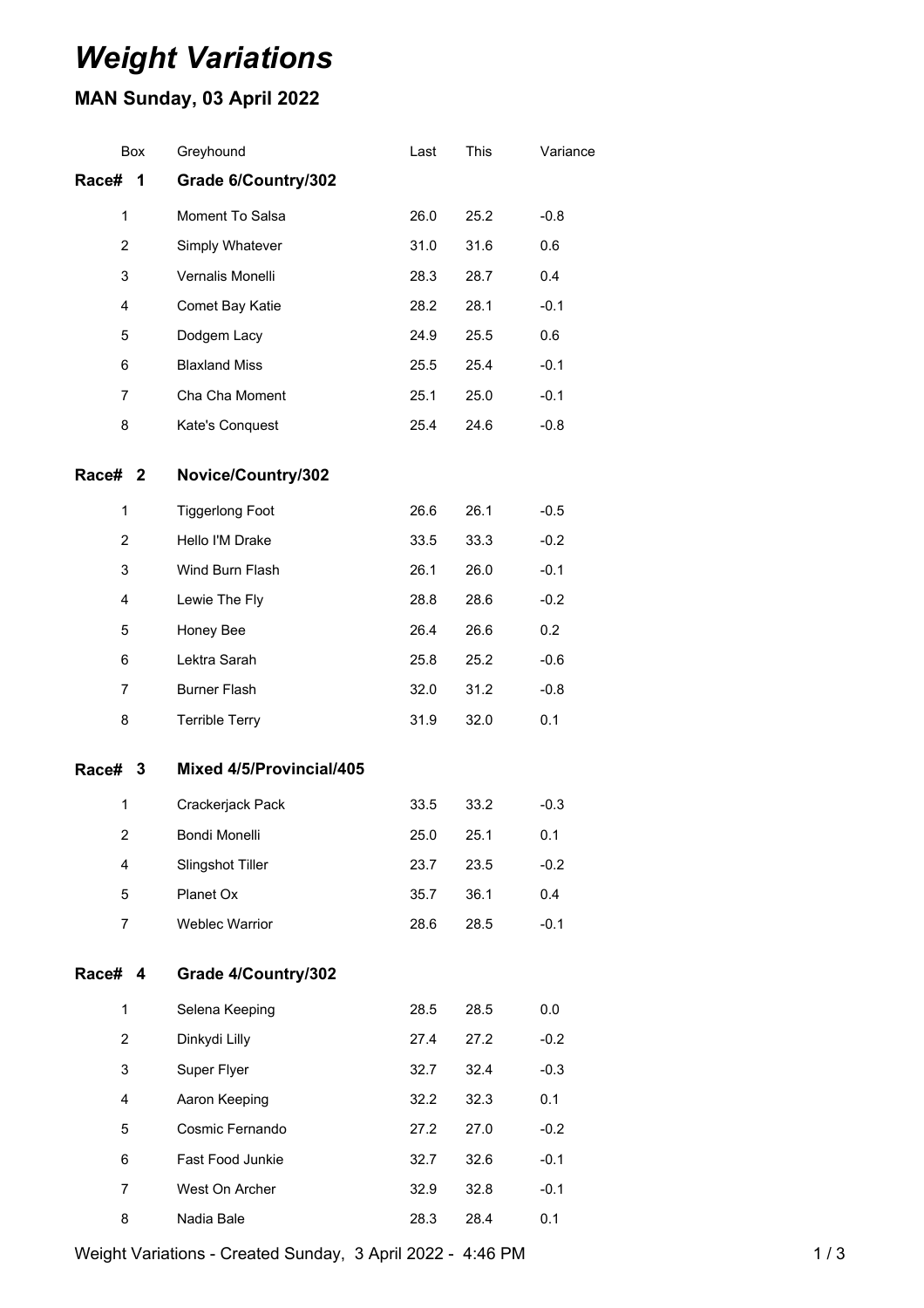## *Weight Variations*

## **MAN Sunday, 03 April 2022**

|                         | Box | Greyhound                | Last | This | Variance |
|-------------------------|-----|--------------------------|------|------|----------|
| Race#                   | 1   | Grade 6/Country/302      |      |      |          |
| 1                       |     | Moment To Salsa          | 26.0 | 25.2 | $-0.8$   |
| $\overline{2}$          |     | Simply Whatever          | 31.0 | 31.6 | 0.6      |
| 3                       |     | Vernalis Monelli         | 28.3 | 28.7 | 0.4      |
| 4                       |     | Comet Bay Katie          | 28.2 | 28.1 | $-0.1$   |
| 5                       |     | Dodgem Lacy              | 24.9 | 25.5 | 0.6      |
| 6                       |     | <b>Blaxland Miss</b>     | 25.5 | 25.4 | $-0.1$   |
| 7                       |     | Cha Cha Moment           | 25.1 | 25.0 | $-0.1$   |
| 8                       |     | Kate's Conquest          | 25.4 | 24.6 | $-0.8$   |
| Race# 2                 |     | Novice/Country/302       |      |      |          |
| 1                       |     | <b>Tiggerlong Foot</b>   | 26.6 | 26.1 | $-0.5$   |
| $\overline{2}$          |     | Hello I'M Drake          | 33.5 | 33.3 | $-0.2$   |
| 3                       |     | Wind Burn Flash          | 26.1 | 26.0 | $-0.1$   |
| 4                       |     | Lewie The Fly            | 28.8 | 28.6 | $-0.2$   |
| 5                       |     | Honey Bee                | 26.4 | 26.6 | 0.2      |
| 6                       |     | Lektra Sarah             | 25.8 | 25.2 | $-0.6$   |
| 7                       |     | <b>Burner Flash</b>      | 32.0 | 31.2 | $-0.8$   |
| 8                       |     | <b>Terrible Terry</b>    | 31.9 | 32.0 | 0.1      |
| Race# 3                 |     | Mixed 4/5/Provincial/405 |      |      |          |
| 1                       |     | Crackerjack Pack         | 33.5 | 33.2 | $-0.3$   |
| $\overline{\mathbf{c}}$ |     | Bondi Monelli            | 25.0 | 25.1 | 0.1      |
| 4                       |     | Slingshot Tiller         | 23.7 | 23.5 | $-0.2$   |
| 5                       |     | Planet Ox                | 35.7 | 36.1 | 0.4      |
| $\overline{7}$          |     | <b>Weblec Warrior</b>    | 28.6 | 28.5 | $-0.1$   |
| Race# 4                 |     | Grade 4/Country/302      |      |      |          |
| 1                       |     | Selena Keeping           | 28.5 | 28.5 | 0.0      |
| $\overline{2}$          |     | Dinkydi Lilly            | 27.4 | 27.2 | $-0.2$   |
| 3                       |     | Super Flyer              | 32.7 | 32.4 | $-0.3$   |
| 4                       |     | Aaron Keeping            | 32.2 | 32.3 | 0.1      |
| 5                       |     | Cosmic Fernando          | 27.2 | 27.0 | $-0.2$   |
| 6                       |     | Fast Food Junkie         | 32.7 | 32.6 | $-0.1$   |
| 7                       |     | West On Archer           | 32.9 | 32.8 | $-0.1$   |
| 8                       |     | Nadia Bale               | 28.3 | 28.4 | 0.1      |
|                         |     |                          |      |      |          |

Weight Variations - Created Sunday, 3 April 2022 - 4:46 PM 1 / 3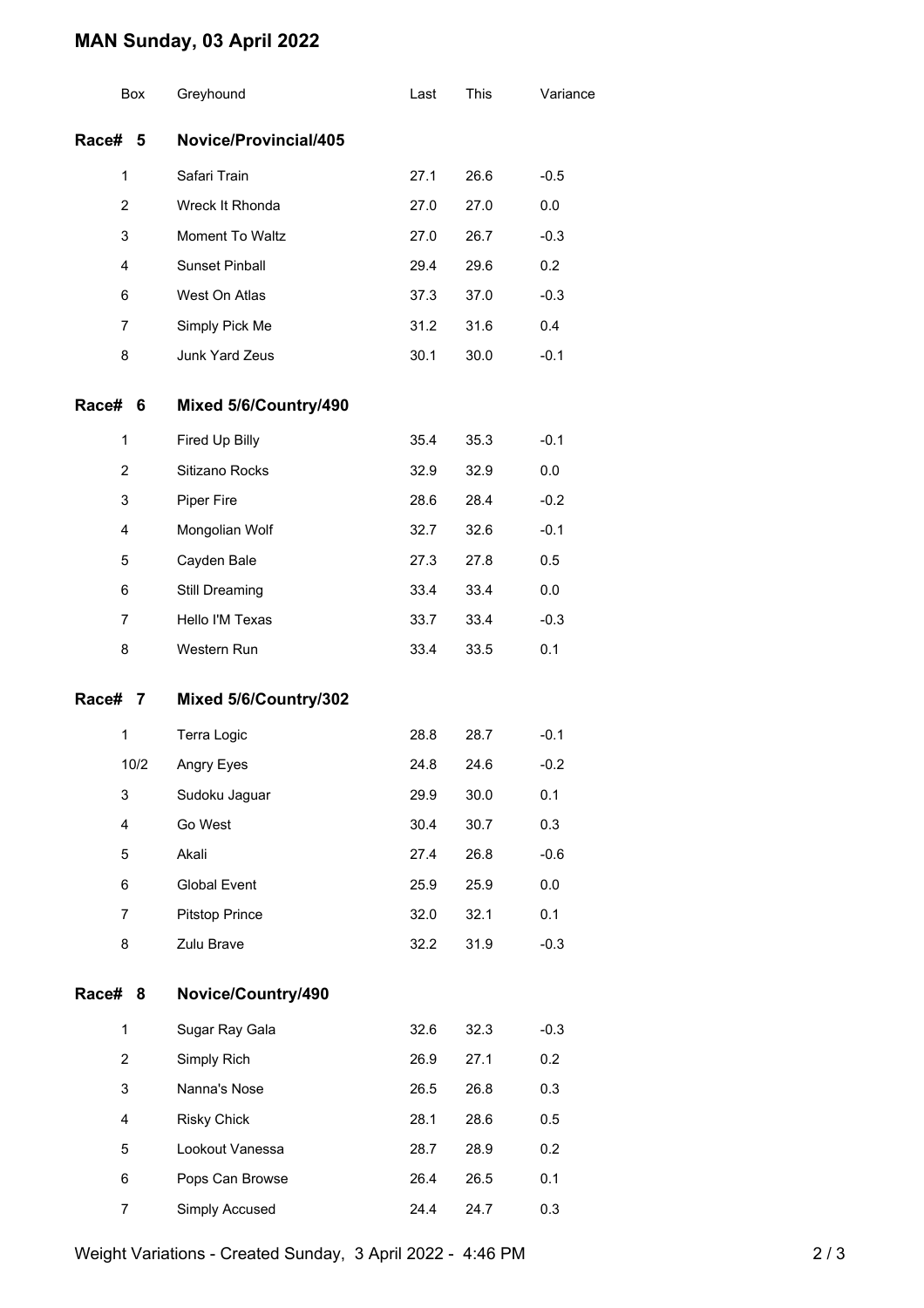## **MAN Sunday, 03 April 2022**

|         | Box            | Greyhound             | Last | This | Variance |
|---------|----------------|-----------------------|------|------|----------|
| Race#   | 5              | Novice/Provincial/405 |      |      |          |
|         | 1              | Safari Train          | 27.1 | 26.6 | $-0.5$   |
|         | $\overline{2}$ | Wreck It Rhonda       | 27.0 | 27.0 | 0.0      |
|         | 3              | Moment To Waltz       | 27.0 | 26.7 | $-0.3$   |
|         | $\overline{4}$ | Sunset Pinball        | 29.4 | 29.6 | 0.2      |
|         | 6              | West On Atlas         | 37.3 | 37.0 | $-0.3$   |
|         | 7              | Simply Pick Me        | 31.2 | 31.6 | 0.4      |
|         | 8              | Junk Yard Zeus        | 30.1 | 30.0 | $-0.1$   |
| Race#   | 6              | Mixed 5/6/Country/490 |      |      |          |
|         | 1              | Fired Up Billy        | 35.4 | 35.3 | $-0.1$   |
|         | 2              | Sitizano Rocks        | 32.9 | 32.9 | 0.0      |
|         | 3              | <b>Piper Fire</b>     | 28.6 | 28.4 | $-0.2$   |
|         | $\overline{4}$ | Mongolian Wolf        | 32.7 | 32.6 | $-0.1$   |
|         | 5              | Cayden Bale           | 27.3 | 27.8 | 0.5      |
|         | 6              | Still Dreaming        | 33.4 | 33.4 | 0.0      |
|         | 7              | Hello I'M Texas       | 33.7 | 33.4 | $-0.3$   |
|         | 8              | Western Run           | 33.4 | 33.5 | 0.1      |
| Race# 7 |                | Mixed 5/6/Country/302 |      |      |          |
|         | 1              | Terra Logic           | 28.8 | 28.7 | $-0.1$   |
|         | 10/2           | Angry Eyes            | 24.8 | 24.6 | $-0.2$   |
|         | 3              | Sudoku Jaguar         | 29.9 | 30.0 | 0.1      |
|         | 4              | Go West               | 30.4 | 30.7 | 0.3      |
|         | 5              | Akali                 | 27.4 | 26.8 | $-0.6$   |
|         | 6              | Global Event          | 25.9 | 25.9 | 0.0      |
|         | $\overline{7}$ | <b>Pitstop Prince</b> | 32.0 | 32.1 | 0.1      |
|         | 8              | Zulu Brave            | 32.2 | 31.9 | $-0.3$   |
| Race#   | 8              | Novice/Country/490    |      |      |          |
|         | 1              | Sugar Ray Gala        | 32.6 | 32.3 | $-0.3$   |
|         | $\overline{2}$ | Simply Rich           | 26.9 | 27.1 | 0.2      |
|         | 3              | Nanna's Nose          | 26.5 | 26.8 | 0.3      |
|         | 4              | <b>Risky Chick</b>    | 28.1 | 28.6 | 0.5      |
|         | 5              | Lookout Vanessa       | 28.7 | 28.9 | 0.2      |
|         | 6              | Pops Can Browse       | 26.4 | 26.5 | 0.1      |
|         | 7              | Simply Accused        | 24.4 | 24.7 | 0.3      |